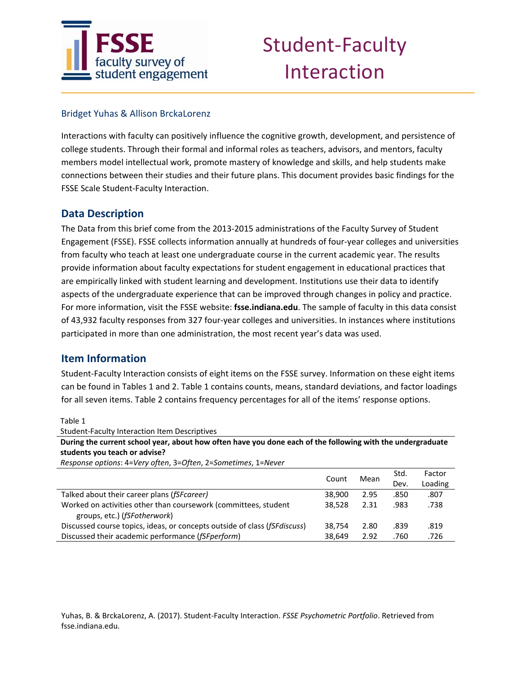

#### Bridget Yuhas & Allison BrckaLorenz

Interactions with faculty can positively influence the cognitive growth, development, and persistence of college students. Through their formal and informal roles as teachers, advisors, and mentors, faculty members model intellectual work, promote mastery of knowledge and skills, and help students make connections between their studies and their future plans. This document provides basic findings for the FSSE Scale Student‐Faculty Interaction.

### **Data Description**

The Data from this brief come from the 2013‐2015 administrations of the Faculty Survey of Student Engagement (FSSE). FSSE collects information annually at hundreds of four‐year colleges and universities from faculty who teach at least one undergraduate course in the current academic year. The results provide information about faculty expectations for student engagement in educational practices that are empirically linked with student learning and development. Institutions use their data to identify aspects of the undergraduate experience that can be improved through changes in policy and practice. For more information, visit the FSSE website: **fsse.indiana.edu**. The sample of faculty in this data consist of 43,932 faculty responses from 327 four‐year colleges and universities. In instances where institutions participated in more than one administration, the most recent year's data was used.

#### **Item Information**

Student‐Faculty Interaction consists of eight items on the FSSE survey. Information on these eight items can be found in Tables 1 and 2. Table 1 contains counts, means, standard deviations, and factor loadings for all seven items. Table 2 contains frequency percentages for all of the items' response options.

Table 1

Student‐Faculty Interaction Item Descriptives During the current school year, about how often have you done each of the following with the undergraduate **students you teach or advise?**  *Response options*: 4=*Very often*, 3=*Often*, 2=*Sometimes*, 1=*Never*

|        | Mean  | Std. | Factor  |
|--------|-------|------|---------|
|        |       | Dev. | Loading |
| 38,900 | 2.95  | .850 | .807    |
| 38.528 | 2.31  | .983 | .738    |
|        |       |      |         |
| 38.754 | 2.80  | .839 | .819    |
| 38.649 | 2.92  | .760 | .726    |
|        | Count |      |         |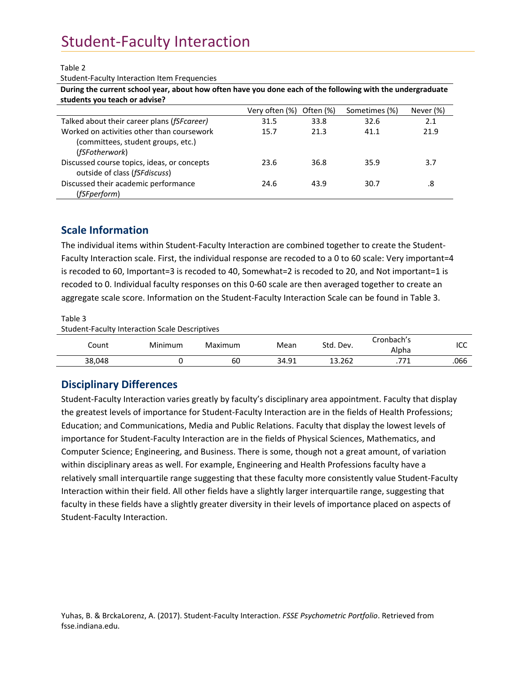#### Table 2

Student‐Faculty Interaction Item Frequencies

During the current school year, about how often have you done each of the following with the undergraduate **students you teach or advise?**

|                                             | Very often (%) | Often (%) | Sometimes (%) | Never (%) |
|---------------------------------------------|----------------|-----------|---------------|-----------|
| Talked about their career plans (fSFcareer) | 31.5           | 33.8      | 32.6          | 2.1       |
| Worked on activities other than coursework  | 15.7           | 21.3      | 41.1          | 21.9      |
| (committees, student groups, etc.)          |                |           |               |           |
| (fSFotherwork)                              |                |           |               |           |
| Discussed course topics, ideas, or concepts | 23.6           | 36.8      | 35.9          | 3.7       |
| outside of class (fSFdiscuss)               |                |           |               |           |
| Discussed their academic performance        | 24.6           | 43.9      | 30.7          | .8        |
| (fSFperform)                                |                |           |               |           |

### **Scale Information**

The individual items within Student-Faculty Interaction are combined together to create the Student-Faculty Interaction scale. First, the individual response are recoded to a 0 to 60 scale: Very important=4 is recoded to 60, Important=3 is recoded to 40, Somewhat=2 is recoded to 20, and Not important=1 is recoded to 0. Individual faculty responses on this 0‐60 scale are then averaged together to create an aggregate scale score. Information on the Student‐Faculty Interaction Scale can be found in Table 3.

Table 3

Student‐Faculty Interaction Scale Descriptives

| Count  | Minimum | Maximum | Mean  | Std.<br>Dev. | Cronbach's<br>Alpha | مما<br>וככ |
|--------|---------|---------|-------|--------------|---------------------|------------|
| 38,048 |         | 60      | 34.91 | 13.262       | 77.                 | .066       |

### **Disciplinary Differences**

Student‐Faculty Interaction varies greatly by faculty's disciplinary area appointment. Faculty that display the greatest levels of importance for Student‐Faculty Interaction are in the fields of Health Professions; Education; and Communications, Media and Public Relations. Faculty that display the lowest levels of importance for Student‐Faculty Interaction are in the fields of Physical Sciences, Mathematics, and Computer Science; Engineering, and Business. There is some, though not a great amount, of variation within disciplinary areas as well. For example, Engineering and Health Professions faculty have a relatively small interquartile range suggesting that these faculty more consistently value Student‐Faculty Interaction within their field. All other fields have a slightly larger interquartile range, suggesting that faculty in these fields have a slightly greater diversity in their levels of importance placed on aspects of Student‐Faculty Interaction.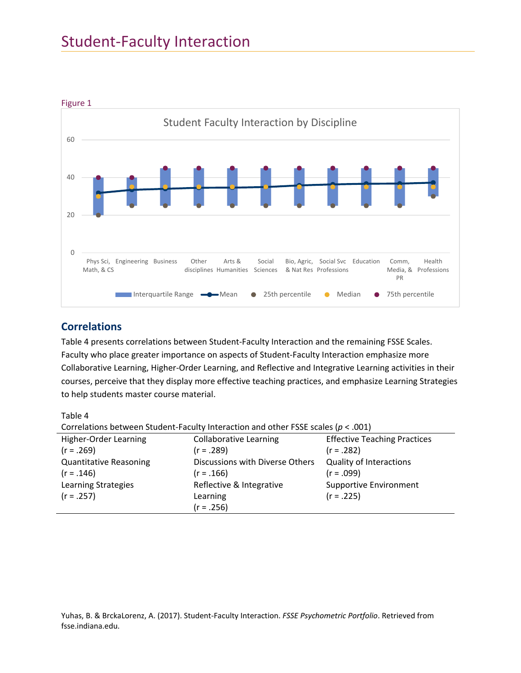

### **Correlations**

Table 4 presents correlations between Student‐Faculty Interaction and the remaining FSSE Scales. Faculty who place greater importance on aspects of Student‐Faculty Interaction emphasize more Collaborative Learning, Higher‐Order Learning, and Reflective and Integrative Learning activities in their courses, perceive that they display more effective teaching practices, and emphasize Learning Strategies to help students master course material.

Table 4

|  | Correlations between Student-Faculty Interaction and other FSSE scales ( $p < .001$ ) |
|--|---------------------------------------------------------------------------------------|
|--|---------------------------------------------------------------------------------------|

| Higher-Order Learning         | <b>Collaborative Learning</b>   | <b>Effective Teaching Practices</b> |
|-------------------------------|---------------------------------|-------------------------------------|
| $(r = .269)$                  | $(r = .289)$                    | $(r = .282)$                        |
| <b>Quantitative Reasoning</b> | Discussions with Diverse Others | <b>Quality of Interactions</b>      |
| $(r = .146)$                  | $(r = .166)$                    | $(r = .099)$                        |
| <b>Learning Strategies</b>    | Reflective & Integrative        | <b>Supportive Environment</b>       |
| $(r = .257)$                  | Learning                        | $(r = .225)$                        |
|                               | $(r = .256)$                    |                                     |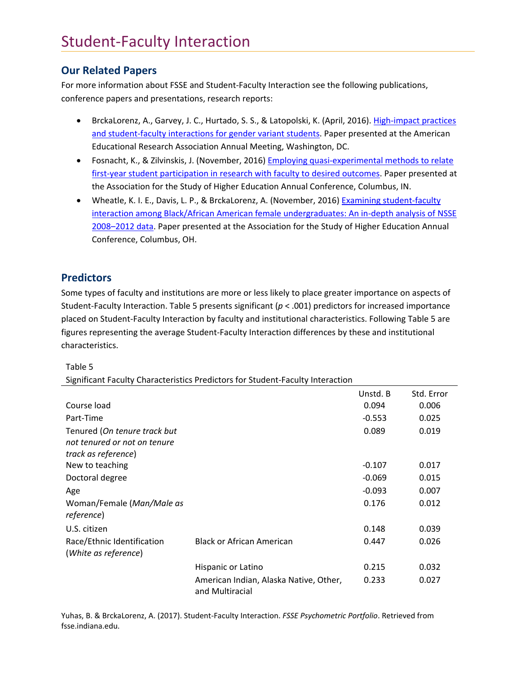### **Our Related Papers**

For more information about FSSE and Student-Faculty Interaction see the following publications, conference papers and presentations, research reports:

- BrckaLorenz, A., Garvey, J. C., Hurtado, S. S., & Latopolski, K. (April, 2016). High-impact practices and student-faculty interactions for gender variant students. Paper presented at the American Educational Research Association Annual Meeting, Washington, DC.
- Fosnacht, K., & Zilvinskis, J. (November, 2016) **Employing quasi-experimental methods to relate** first-year student participation in research with faculty to desired outcomes. Paper presented at the Association for the Study of Higher Education Annual Conference, Columbus, IN.
- Wheatle, K. I. E., Davis, L. P., & BrckaLorenz, A. (November, 2016) Examining student-faculty interaction among Black/African American female undergraduates: An in‐depth analysis of NSSE 2008–2012 data. Paper presented at the Association for the Study of Higher Education Annual Conference, Columbus, OH.

### **Predictors**

Some types of faculty and institutions are more or less likely to place greater importance on aspects of Student‐Faculty Interaction. Table 5 presents significant (*p* < .001) predictors for increased importance placed on Student‐Faculty Interaction by faculty and institutional characteristics. Following Table 5 are figures representing the average Student‐Faculty Interaction differences by these and institutional characteristics.

Table 5

Significant Faculty Characteristics Predictors for Student‐Faculty Interaction

|                                                    |                                                           | Unstd. B | Std. Error |
|----------------------------------------------------|-----------------------------------------------------------|----------|------------|
| Course load                                        |                                                           | 0.094    | 0.006      |
| Part-Time                                          |                                                           | $-0.553$ | 0.025      |
| Tenured (On tenure track but                       |                                                           | 0.089    | 0.019      |
| not tenured or not on tenure                       |                                                           |          |            |
| track as reference)                                |                                                           |          |            |
| New to teaching                                    |                                                           | $-0.107$ | 0.017      |
| Doctoral degree                                    |                                                           | $-0.069$ | 0.015      |
| Age                                                |                                                           | $-0.093$ | 0.007      |
| Woman/Female (Man/Male as<br>reference)            |                                                           | 0.176    | 0.012      |
| U.S. citizen                                       |                                                           | 0.148    | 0.039      |
| Race/Ethnic Identification<br>(White as reference) | <b>Black or African American</b>                          | 0.447    | 0.026      |
|                                                    | Hispanic or Latino                                        | 0.215    | 0.032      |
|                                                    | American Indian, Alaska Native, Other,<br>and Multiracial | 0.233    | 0.027      |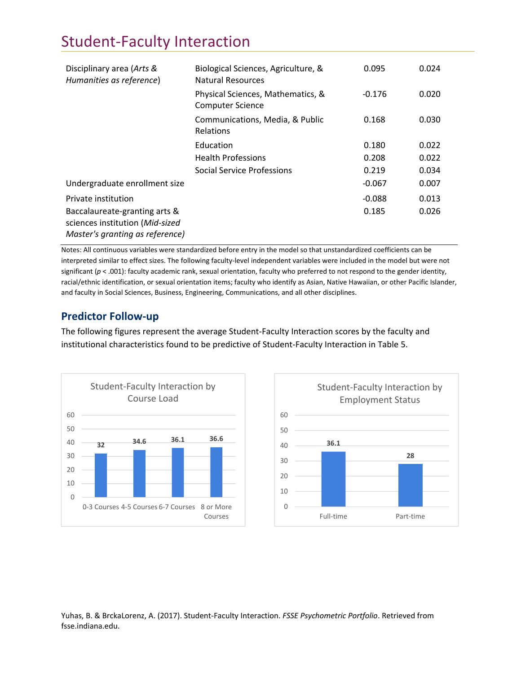| Disciplinary area (Arts &<br>Humanities as reference)                                               | Biological Sciences, Agriculture, &<br>Natural Resources     | 0.095    | 0.024 |
|-----------------------------------------------------------------------------------------------------|--------------------------------------------------------------|----------|-------|
|                                                                                                     | Physical Sciences, Mathematics, &<br><b>Computer Science</b> | $-0.176$ | 0.020 |
|                                                                                                     | Communications, Media, & Public<br>Relations                 | 0.168    | 0.030 |
|                                                                                                     | Education                                                    | 0.180    | 0.022 |
|                                                                                                     | <b>Health Professions</b>                                    | 0.208    | 0.022 |
|                                                                                                     | Social Service Professions                                   | 0.219    | 0.034 |
| Undergraduate enrollment size                                                                       |                                                              | $-0.067$ | 0.007 |
| Private institution                                                                                 |                                                              | $-0.088$ | 0.013 |
| Baccalaureate-granting arts &<br>sciences institution (Mid-sized<br>Master's granting as reference) |                                                              | 0.185    | 0.026 |

Notes: All continuous variables were standardized before entry in the model so that unstandardized coefficients can be interpreted similar to effect sizes. The following faculty‐level independent variables were included in the model but were not significant ( $p < .001$ ): faculty academic rank, sexual orientation, faculty who preferred to not respond to the gender identity, racial/ethnic identification, or sexual orientation items; faculty who identify as Asian, Native Hawaiian, or other Pacific Islander, and faculty in Social Sciences, Business, Engineering, Communications, and all other disciplines.

### **Predictor Follow‐up**

The following figures represent the average Student‐Faculty Interaction scores by the faculty and institutional characteristics found to be predictive of Student‐Faculty Interaction in Table 5.



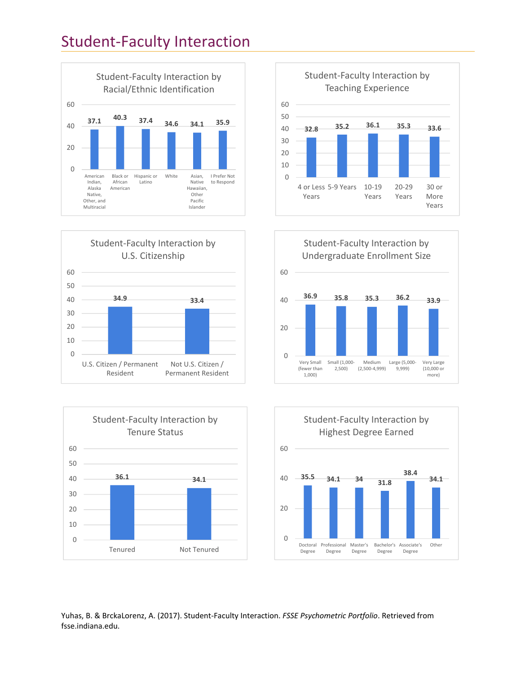